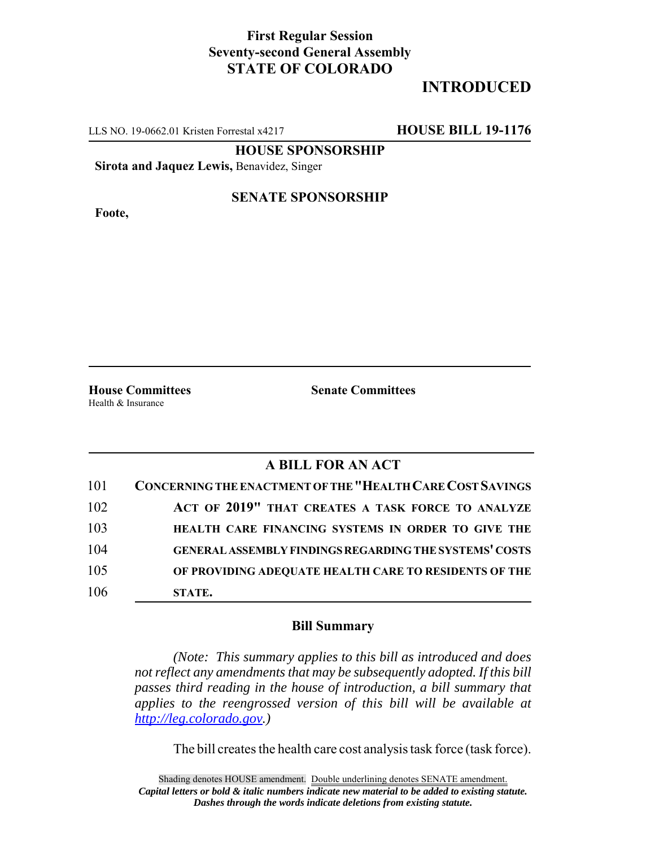## **First Regular Session Seventy-second General Assembly STATE OF COLORADO**

# **INTRODUCED**

LLS NO. 19-0662.01 Kristen Forrestal x4217 **HOUSE BILL 19-1176**

**HOUSE SPONSORSHIP**

**Sirota and Jaquez Lewis,** Benavidez, Singer

**Foote,**

#### **SENATE SPONSORSHIP**

Health & Insurance

**House Committees Senate Committees** 

### **A BILL FOR AN ACT**

| 101 | <b>CONCERNING THE ENACTMENT OF THE "HEALTH CARE COST SAVINGS"</b> |
|-----|-------------------------------------------------------------------|
| 102 | ACT OF 2019" THAT CREATES A TASK FORCE TO ANALYZE                 |
| 103 | HEALTH CARE FINANCING SYSTEMS IN ORDER TO GIVE THE                |
| 104 | <b>GENERAL ASSEMBLY FINDINGS REGARDING THE SYSTEMS' COSTS</b>     |
| 105 | OF PROVIDING ADEQUATE HEALTH CARE TO RESIDENTS OF THE             |
| 106 | STATE.                                                            |

#### **Bill Summary**

*(Note: This summary applies to this bill as introduced and does not reflect any amendments that may be subsequently adopted. If this bill passes third reading in the house of introduction, a bill summary that applies to the reengrossed version of this bill will be available at http://leg.colorado.gov.)*

The bill creates the health care cost analysis task force (task force).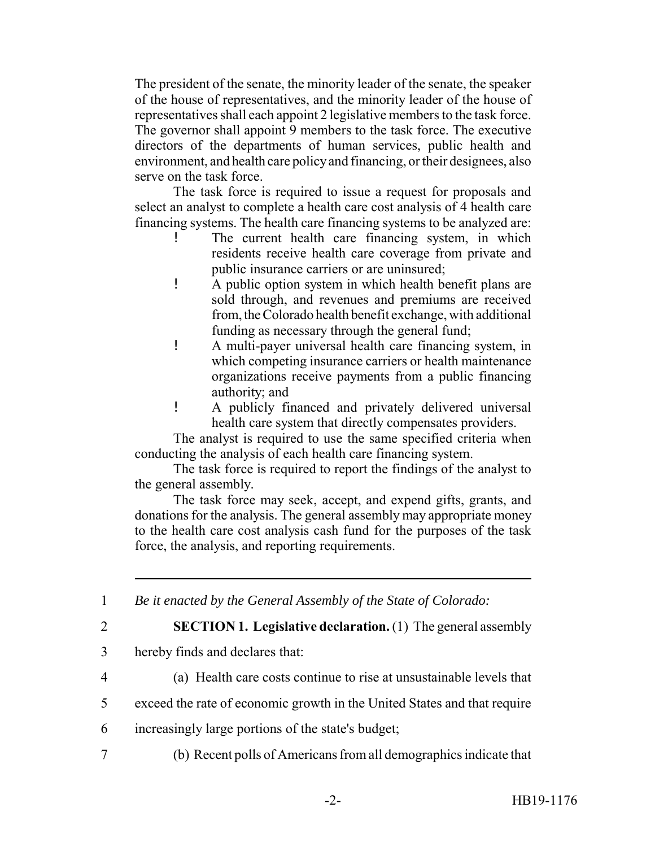The president of the senate, the minority leader of the senate, the speaker of the house of representatives, and the minority leader of the house of representatives shall each appoint 2 legislative members to the task force. The governor shall appoint 9 members to the task force. The executive directors of the departments of human services, public health and environment, and health care policy and financing, or their designees, also serve on the task force.

The task force is required to issue a request for proposals and select an analyst to complete a health care cost analysis of 4 health care financing systems. The health care financing systems to be analyzed are:

- The current health care financing system, in which residents receive health care coverage from private and public insurance carriers or are uninsured;
- ! A public option system in which health benefit plans are sold through, and revenues and premiums are received from, the Colorado health benefit exchange, with additional funding as necessary through the general fund;
- ! A multi-payer universal health care financing system, in which competing insurance carriers or health maintenance organizations receive payments from a public financing authority; and
- ! A publicly financed and privately delivered universal health care system that directly compensates providers.

The analyst is required to use the same specified criteria when conducting the analysis of each health care financing system.

The task force is required to report the findings of the analyst to the general assembly.

The task force may seek, accept, and expend gifts, grants, and donations for the analysis. The general assembly may appropriate money to the health care cost analysis cash fund for the purposes of the task force, the analysis, and reporting requirements.

1 *Be it enacted by the General Assembly of the State of Colorado:*

2 **SECTION 1. Legislative declaration.** (1) The general assembly

- 3 hereby finds and declares that:
- 

4 (a) Health care costs continue to rise at unsustainable levels that

- 5 exceed the rate of economic growth in the United States and that require
- 6 increasingly large portions of the state's budget;
- 7 (b) Recent polls of Americans from all demographics indicate that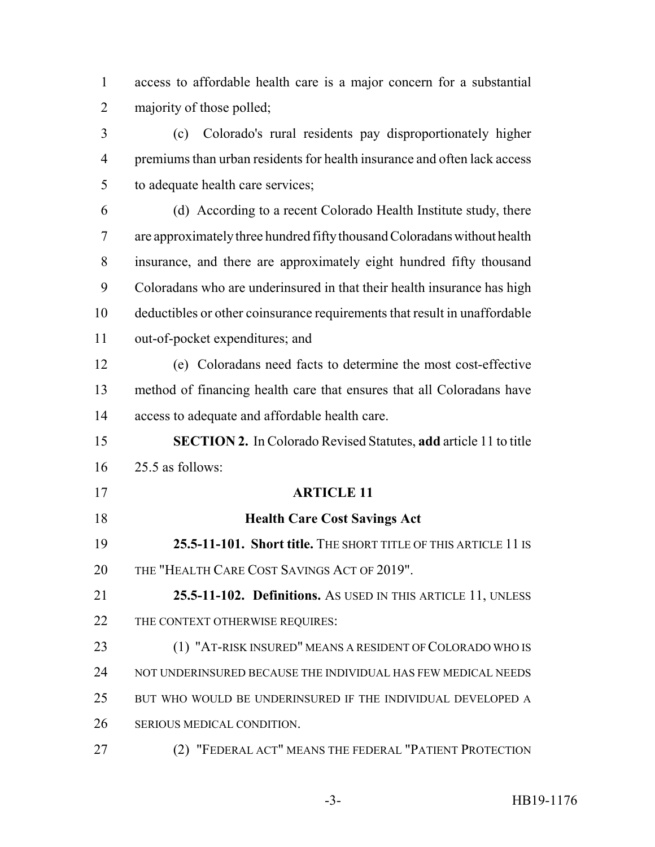access to affordable health care is a major concern for a substantial majority of those polled;

 (c) Colorado's rural residents pay disproportionately higher premiums than urban residents for health insurance and often lack access to adequate health care services;

 (d) According to a recent Colorado Health Institute study, there are approximately three hundred fifty thousand Coloradans without health insurance, and there are approximately eight hundred fifty thousand Coloradans who are underinsured in that their health insurance has high deductibles or other coinsurance requirements that result in unaffordable out-of-pocket expenditures; and

 (e) Coloradans need facts to determine the most cost-effective method of financing health care that ensures that all Coloradans have access to adequate and affordable health care.

 **SECTION 2.** In Colorado Revised Statutes, **add** article 11 to title 25.5 as follows:

- **ARTICLE 11**
- **Health Care Cost Savings Act 25.5-11-101. Short title.** THE SHORT TITLE OF THIS ARTICLE 11 IS THE "HEALTH CARE COST SAVINGS ACT OF 2019".

 **25.5-11-102. Definitions.** AS USED IN THIS ARTICLE 11, UNLESS 22 THE CONTEXT OTHERWISE REQUIRES:

 (1) "AT-RISK INSURED" MEANS A RESIDENT OF COLORADO WHO IS NOT UNDERINSURED BECAUSE THE INDIVIDUAL HAS FEW MEDICAL NEEDS BUT WHO WOULD BE UNDERINSURED IF THE INDIVIDUAL DEVELOPED A SERIOUS MEDICAL CONDITION.

(2) "FEDERAL ACT" MEANS THE FEDERAL "PATIENT PROTECTION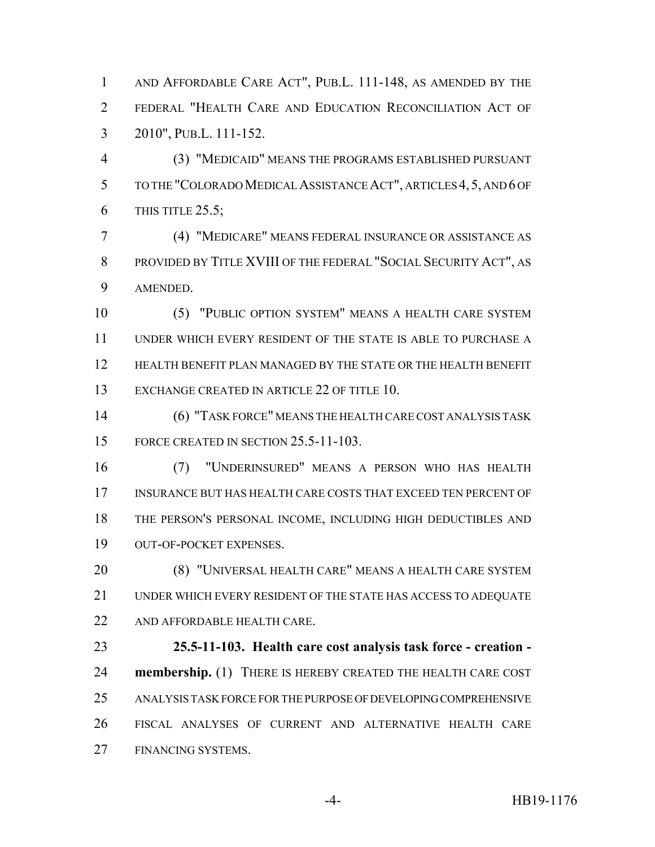AND AFFORDABLE CARE ACT", PUB.L. 111-148, AS AMENDED BY THE FEDERAL "HEALTH CARE AND EDUCATION RECONCILIATION ACT OF 2010", PUB.L. 111-152.

 (3) "MEDICAID" MEANS THE PROGRAMS ESTABLISHED PURSUANT TO THE "COLORADO MEDICAL ASSISTANCE ACT", ARTICLES 4,5, AND 6 OF THIS TITLE 25.5;

 (4) "MEDICARE" MEANS FEDERAL INSURANCE OR ASSISTANCE AS PROVIDED BY TITLE XVIII OF THE FEDERAL "SOCIAL SECURITY ACT", AS AMENDED.

 (5) "PUBLIC OPTION SYSTEM" MEANS A HEALTH CARE SYSTEM UNDER WHICH EVERY RESIDENT OF THE STATE IS ABLE TO PURCHASE A HEALTH BENEFIT PLAN MANAGED BY THE STATE OR THE HEALTH BENEFIT EXCHANGE CREATED IN ARTICLE 22 OF TITLE 10.

 (6) "TASK FORCE" MEANS THE HEALTH CARE COST ANALYSIS TASK 15 FORCE CREATED IN SECTION 25.5-11-103.

 (7) "UNDERINSURED" MEANS A PERSON WHO HAS HEALTH INSURANCE BUT HAS HEALTH CARE COSTS THAT EXCEED TEN PERCENT OF THE PERSON'S PERSONAL INCOME, INCLUDING HIGH DEDUCTIBLES AND OUT-OF-POCKET EXPENSES.

 (8) "UNIVERSAL HEALTH CARE" MEANS A HEALTH CARE SYSTEM UNDER WHICH EVERY RESIDENT OF THE STATE HAS ACCESS TO ADEQUATE 22 AND AFFORDABLE HEALTH CARE.

 **25.5-11-103. Health care cost analysis task force - creation - membership.** (1) THERE IS HEREBY CREATED THE HEALTH CARE COST ANALYSIS TASK FORCE FOR THE PURPOSE OF DEVELOPING COMPREHENSIVE FISCAL ANALYSES OF CURRENT AND ALTERNATIVE HEALTH CARE FINANCING SYSTEMS.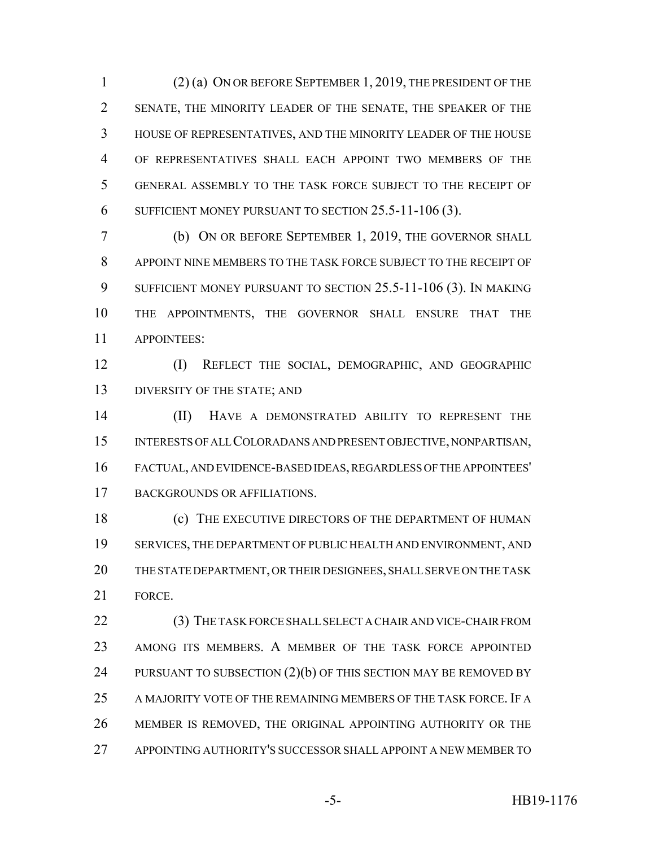(2) (a) ON OR BEFORE SEPTEMBER 1, 2019, THE PRESIDENT OF THE SENATE, THE MINORITY LEADER OF THE SENATE, THE SPEAKER OF THE HOUSE OF REPRESENTATIVES, AND THE MINORITY LEADER OF THE HOUSE OF REPRESENTATIVES SHALL EACH APPOINT TWO MEMBERS OF THE GENERAL ASSEMBLY TO THE TASK FORCE SUBJECT TO THE RECEIPT OF SUFFICIENT MONEY PURSUANT TO SECTION 25.5-11-106 (3).

 (b) ON OR BEFORE SEPTEMBER 1, 2019, THE GOVERNOR SHALL APPOINT NINE MEMBERS TO THE TASK FORCE SUBJECT TO THE RECEIPT OF SUFFICIENT MONEY PURSUANT TO SECTION 25.5-11-106 (3). IN MAKING THE APPOINTMENTS, THE GOVERNOR SHALL ENSURE THAT THE APPOINTEES:

 (I) REFLECT THE SOCIAL, DEMOGRAPHIC, AND GEOGRAPHIC DIVERSITY OF THE STATE; AND

 (II) HAVE A DEMONSTRATED ABILITY TO REPRESENT THE INTERESTS OF ALL COLORADANS AND PRESENT OBJECTIVE, NONPARTISAN, FACTUAL, AND EVIDENCE-BASED IDEAS, REGARDLESS OF THE APPOINTEES' BACKGROUNDS OR AFFILIATIONS.

18 (c) THE EXECUTIVE DIRECTORS OF THE DEPARTMENT OF HUMAN SERVICES, THE DEPARTMENT OF PUBLIC HEALTH AND ENVIRONMENT, AND THE STATE DEPARTMENT, OR THEIR DESIGNEES, SHALL SERVE ON THE TASK FORCE.

22 (3) THE TASK FORCE SHALL SELECT A CHAIR AND VICE-CHAIR FROM AMONG ITS MEMBERS. A MEMBER OF THE TASK FORCE APPOINTED 24 PURSUANT TO SUBSECTION (2)(b) OF THIS SECTION MAY BE REMOVED BY A MAJORITY VOTE OF THE REMAINING MEMBERS OF THE TASK FORCE. IF A MEMBER IS REMOVED, THE ORIGINAL APPOINTING AUTHORITY OR THE APPOINTING AUTHORITY'S SUCCESSOR SHALL APPOINT A NEW MEMBER TO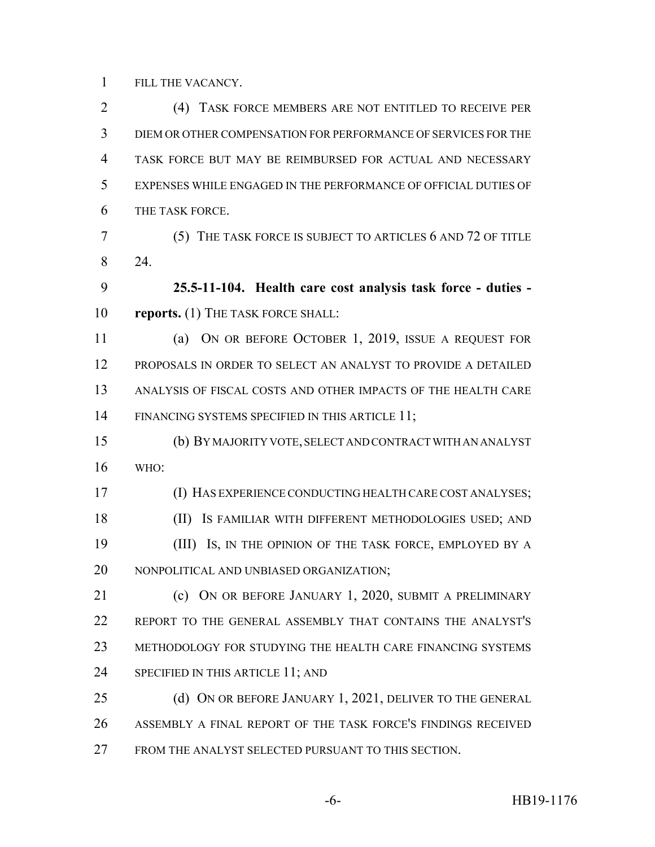FILL THE VACANCY.

 (4) TASK FORCE MEMBERS ARE NOT ENTITLED TO RECEIVE PER DIEM OR OTHER COMPENSATION FOR PERFORMANCE OF SERVICES FOR THE TASK FORCE BUT MAY BE REIMBURSED FOR ACTUAL AND NECESSARY EXPENSES WHILE ENGAGED IN THE PERFORMANCE OF OFFICIAL DUTIES OF THE TASK FORCE.

 (5) THE TASK FORCE IS SUBJECT TO ARTICLES 6 AND 72 OF TITLE 24.

 **25.5-11-104. Health care cost analysis task force - duties - reports.** (1) THE TASK FORCE SHALL:

 (a) ON OR BEFORE OCTOBER 1, 2019, ISSUE A REQUEST FOR PROPOSALS IN ORDER TO SELECT AN ANALYST TO PROVIDE A DETAILED ANALYSIS OF FISCAL COSTS AND OTHER IMPACTS OF THE HEALTH CARE FINANCING SYSTEMS SPECIFIED IN THIS ARTICLE 11;

 (b) BY MAJORITY VOTE, SELECT AND CONTRACT WITH AN ANALYST WHO:

 (I) HAS EXPERIENCE CONDUCTING HEALTH CARE COST ANALYSES; (II) IS FAMILIAR WITH DIFFERENT METHODOLOGIES USED; AND **(III)** Is, IN THE OPINION OF THE TASK FORCE, EMPLOYED BY A NONPOLITICAL AND UNBIASED ORGANIZATION;

**(c)** ON OR BEFORE JANUARY 1, 2020, SUBMIT A PRELIMINARY REPORT TO THE GENERAL ASSEMBLY THAT CONTAINS THE ANALYST'S METHODOLOGY FOR STUDYING THE HEALTH CARE FINANCING SYSTEMS 24 SPECIFIED IN THIS ARTICLE 11; AND

25 (d) ON OR BEFORE JANUARY 1, 2021, DELIVER TO THE GENERAL ASSEMBLY A FINAL REPORT OF THE TASK FORCE'S FINDINGS RECEIVED FROM THE ANALYST SELECTED PURSUANT TO THIS SECTION.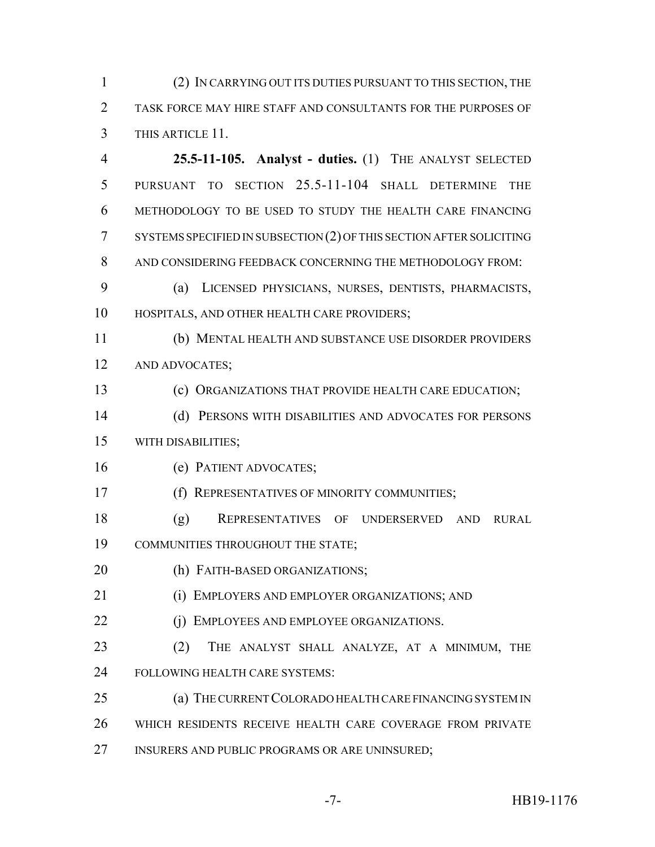(2) IN CARRYING OUT ITS DUTIES PURSUANT TO THIS SECTION, THE TASK FORCE MAY HIRE STAFF AND CONSULTANTS FOR THE PURPOSES OF THIS ARTICLE 11.

 **25.5-11-105. Analyst - duties.** (1) THE ANALYST SELECTED PURSUANT TO SECTION 25.5-11-104 SHALL DETERMINE THE METHODOLOGY TO BE USED TO STUDY THE HEALTH CARE FINANCING SYSTEMS SPECIFIED IN SUBSECTION (2) OF THIS SECTION AFTER SOLICITING AND CONSIDERING FEEDBACK CONCERNING THE METHODOLOGY FROM:

 (a) LICENSED PHYSICIANS, NURSES, DENTISTS, PHARMACISTS, HOSPITALS, AND OTHER HEALTH CARE PROVIDERS;

 (b) MENTAL HEALTH AND SUBSTANCE USE DISORDER PROVIDERS AND ADVOCATES;

(c) ORGANIZATIONS THAT PROVIDE HEALTH CARE EDUCATION;

 (d) PERSONS WITH DISABILITIES AND ADVOCATES FOR PERSONS WITH DISABILITIES;

(e) PATIENT ADVOCATES;

(f) REPRESENTATIVES OF MINORITY COMMUNITIES;

 (g) REPRESENTATIVES OF UNDERSERVED AND RURAL COMMUNITIES THROUGHOUT THE STATE;

(h) FAITH-BASED ORGANIZATIONS;

(i) EMPLOYERS AND EMPLOYER ORGANIZATIONS; AND

**(j) EMPLOYEES AND EMPLOYEE ORGANIZATIONS.** 

23 (2) THE ANALYST SHALL ANALYZE, AT A MINIMUM, THE FOLLOWING HEALTH CARE SYSTEMS:

 (a) THE CURRENT COLORADO HEALTH CARE FINANCING SYSTEM IN WHICH RESIDENTS RECEIVE HEALTH CARE COVERAGE FROM PRIVATE

INSURERS AND PUBLIC PROGRAMS OR ARE UNINSURED;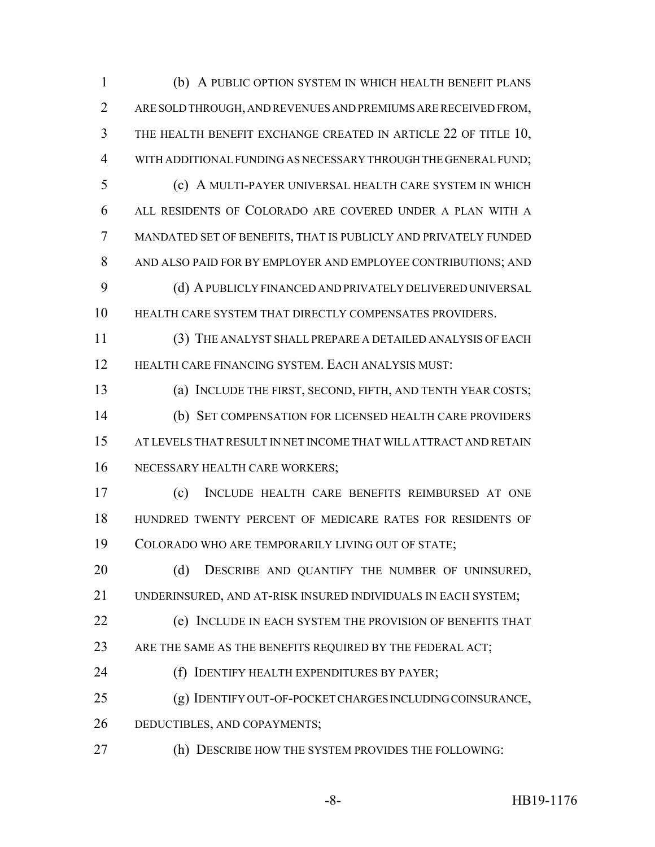(b) A PUBLIC OPTION SYSTEM IN WHICH HEALTH BENEFIT PLANS ARE SOLD THROUGH, AND REVENUES AND PREMIUMS ARE RECEIVED FROM, THE HEALTH BENEFIT EXCHANGE CREATED IN ARTICLE 22 OF TITLE 10, WITH ADDITIONAL FUNDING AS NECESSARY THROUGH THE GENERAL FUND; (c) A MULTI-PAYER UNIVERSAL HEALTH CARE SYSTEM IN WHICH ALL RESIDENTS OF COLORADO ARE COVERED UNDER A PLAN WITH A MANDATED SET OF BENEFITS, THAT IS PUBLICLY AND PRIVATELY FUNDED AND ALSO PAID FOR BY EMPLOYER AND EMPLOYEE CONTRIBUTIONS; AND (d) A PUBLICLY FINANCED AND PRIVATELY DELIVERED UNIVERSAL HEALTH CARE SYSTEM THAT DIRECTLY COMPENSATES PROVIDERS. (3) THE ANALYST SHALL PREPARE A DETAILED ANALYSIS OF EACH HEALTH CARE FINANCING SYSTEM. EACH ANALYSIS MUST: (a) INCLUDE THE FIRST, SECOND, FIFTH, AND TENTH YEAR COSTS; (b) SET COMPENSATION FOR LICENSED HEALTH CARE PROVIDERS AT LEVELS THAT RESULT IN NET INCOME THAT WILL ATTRACT AND RETAIN NECESSARY HEALTH CARE WORKERS; (c) INCLUDE HEALTH CARE BENEFITS REIMBURSED AT ONE HUNDRED TWENTY PERCENT OF MEDICARE RATES FOR RESIDENTS OF COLORADO WHO ARE TEMPORARILY LIVING OUT OF STATE; 20 (d) DESCRIBE AND QUANTIFY THE NUMBER OF UNINSURED, UNDERINSURED, AND AT-RISK INSURED INDIVIDUALS IN EACH SYSTEM; (e) INCLUDE IN EACH SYSTEM THE PROVISION OF BENEFITS THAT 23 ARE THE SAME AS THE BENEFITS REQUIRED BY THE FEDERAL ACT; (f) IDENTIFY HEALTH EXPENDITURES BY PAYER;

(g) IDENTIFY OUT-OF-POCKET CHARGES INCLUDING COINSURANCE,

DEDUCTIBLES, AND COPAYMENTS;

(h) DESCRIBE HOW THE SYSTEM PROVIDES THE FOLLOWING: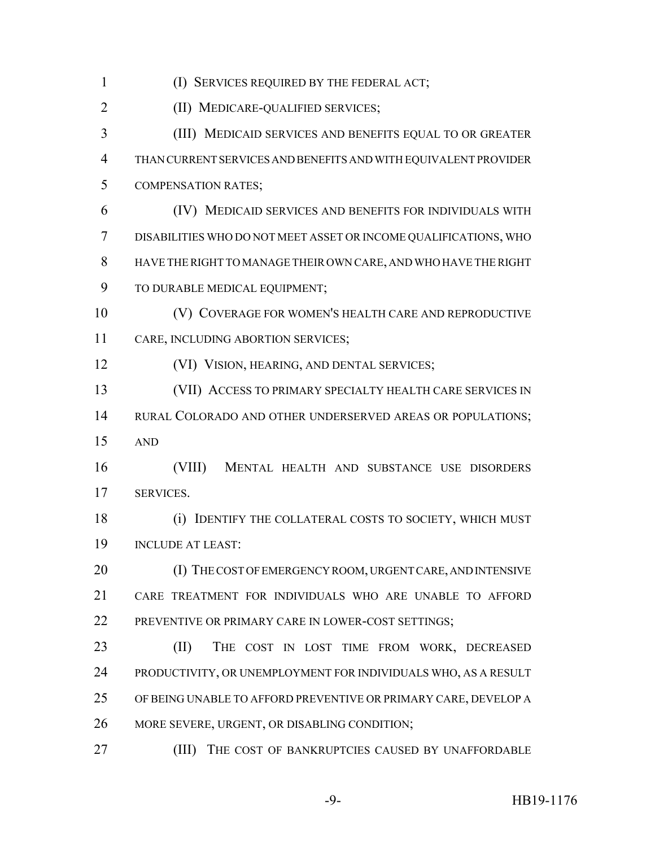(I) SERVICES REQUIRED BY THE FEDERAL ACT; (II) MEDICARE-QUALIFIED SERVICES; (III) MEDICAID SERVICES AND BENEFITS EQUAL TO OR GREATER THAN CURRENT SERVICES AND BENEFITS AND WITH EQUIVALENT PROVIDER COMPENSATION RATES; (IV) MEDICAID SERVICES AND BENEFITS FOR INDIVIDUALS WITH DISABILITIES WHO DO NOT MEET ASSET OR INCOME QUALIFICATIONS, WHO HAVE THE RIGHT TO MANAGE THEIR OWN CARE, AND WHO HAVE THE RIGHT 9 TO DURABLE MEDICAL EQUIPMENT; (V) COVERAGE FOR WOMEN'S HEALTH CARE AND REPRODUCTIVE CARE, INCLUDING ABORTION SERVICES; (VI) VISION, HEARING, AND DENTAL SERVICES; (VII) ACCESS TO PRIMARY SPECIALTY HEALTH CARE SERVICES IN 14 RURAL COLORADO AND OTHER UNDERSERVED AREAS OR POPULATIONS; AND (VIII) MENTAL HEALTH AND SUBSTANCE USE DISORDERS SERVICES. (i) IDENTIFY THE COLLATERAL COSTS TO SOCIETY, WHICH MUST INCLUDE AT LEAST: 20 (I) THE COST OF EMERGENCY ROOM, URGENT CARE, AND INTENSIVE CARE TREATMENT FOR INDIVIDUALS WHO ARE UNABLE TO AFFORD PREVENTIVE OR PRIMARY CARE IN LOWER-COST SETTINGS; (II) THE COST IN LOST TIME FROM WORK, DECREASED PRODUCTIVITY, OR UNEMPLOYMENT FOR INDIVIDUALS WHO, AS A RESULT OF BEING UNABLE TO AFFORD PREVENTIVE OR PRIMARY CARE, DEVELOP A MORE SEVERE, URGENT, OR DISABLING CONDITION; (III) THE COST OF BANKRUPTCIES CAUSED BY UNAFFORDABLE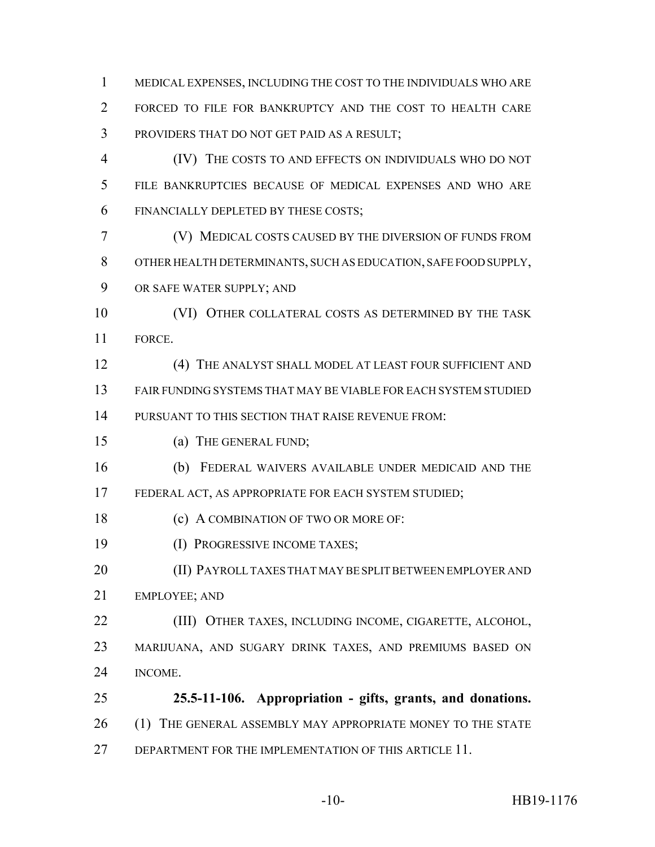MEDICAL EXPENSES, INCLUDING THE COST TO THE INDIVIDUALS WHO ARE FORCED TO FILE FOR BANKRUPTCY AND THE COST TO HEALTH CARE PROVIDERS THAT DO NOT GET PAID AS A RESULT;

 (IV) THE COSTS TO AND EFFECTS ON INDIVIDUALS WHO DO NOT FILE BANKRUPTCIES BECAUSE OF MEDICAL EXPENSES AND WHO ARE FINANCIALLY DEPLETED BY THESE COSTS;

 (V) MEDICAL COSTS CAUSED BY THE DIVERSION OF FUNDS FROM OTHER HEALTH DETERMINANTS, SUCH AS EDUCATION, SAFE FOOD SUPPLY, OR SAFE WATER SUPPLY; AND

10 (VI) OTHER COLLATERAL COSTS AS DETERMINED BY THE TASK FORCE.

 (4) THE ANALYST SHALL MODEL AT LEAST FOUR SUFFICIENT AND FAIR FUNDING SYSTEMS THAT MAY BE VIABLE FOR EACH SYSTEM STUDIED PURSUANT TO THIS SECTION THAT RAISE REVENUE FROM:

(a) THE GENERAL FUND;

(b) FEDERAL WAIVERS AVAILABLE UNDER MEDICAID AND THE

FEDERAL ACT, AS APPROPRIATE FOR EACH SYSTEM STUDIED;

18 (c) A COMBINATION OF TWO OR MORE OF:

**(I) PROGRESSIVE INCOME TAXES;** 

 (II) PAYROLL TAXES THAT MAY BE SPLIT BETWEEN EMPLOYER AND EMPLOYEE; AND

 (III) OTHER TAXES, INCLUDING INCOME, CIGARETTE, ALCOHOL, MARIJUANA, AND SUGARY DRINK TAXES, AND PREMIUMS BASED ON INCOME.

 **25.5-11-106. Appropriation - gifts, grants, and donations.** 26 (1) THE GENERAL ASSEMBLY MAY APPROPRIATE MONEY TO THE STATE 27 DEPARTMENT FOR THE IMPLEMENTATION OF THIS ARTICLE 11.